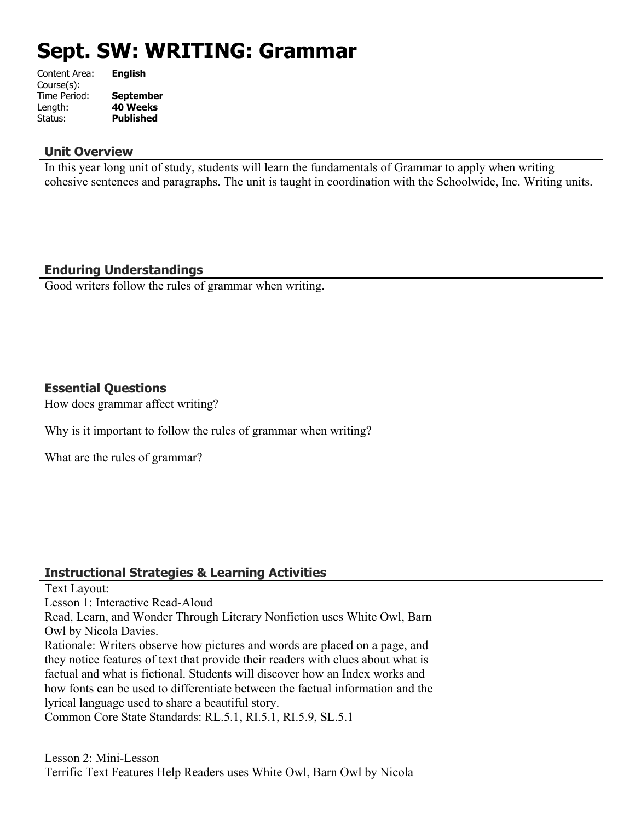# **Sept. SW: WRITING: Grammar**

| Content Area: | <b>English</b>   |
|---------------|------------------|
| Course(s):    |                  |
| Time Period:  | <b>September</b> |
| Length:       | <b>40 Weeks</b>  |
| Status:       | <b>Published</b> |
|               |                  |

#### **Unit Overview**

In this year long unit of study, students will learn the fundamentals of Grammar to apply when writing cohesive sentences and paragraphs. The unit is taught in coordination with the Schoolwide, Inc. Writing units.

## **Enduring Understandings**

Good writers follow the rules of grammar when writing.

## **Essential Questions**

How does grammar affect writing?

Why is it important to follow the rules of grammar when writing?

What are the rules of grammar?

#### **Instructional Strategies & Learning Activities**

Text Layout:

Lesson 1: Interactive Read-Aloud

Read, Learn, and Wonder Through Literary Nonfiction uses White Owl, Barn Owl by Nicola Davies.

Rationale: Writers observe how pictures and words are placed on a page, and they notice features of text that provide their readers with clues about what is factual and what is fictional. Students will discover how an Index works and how fonts can be used to differentiate between the factual information and the lyrical language used to share a beautiful story.

Common Core State Standards: RL.5.1, RI.5.1, RI.5.9, SL.5.1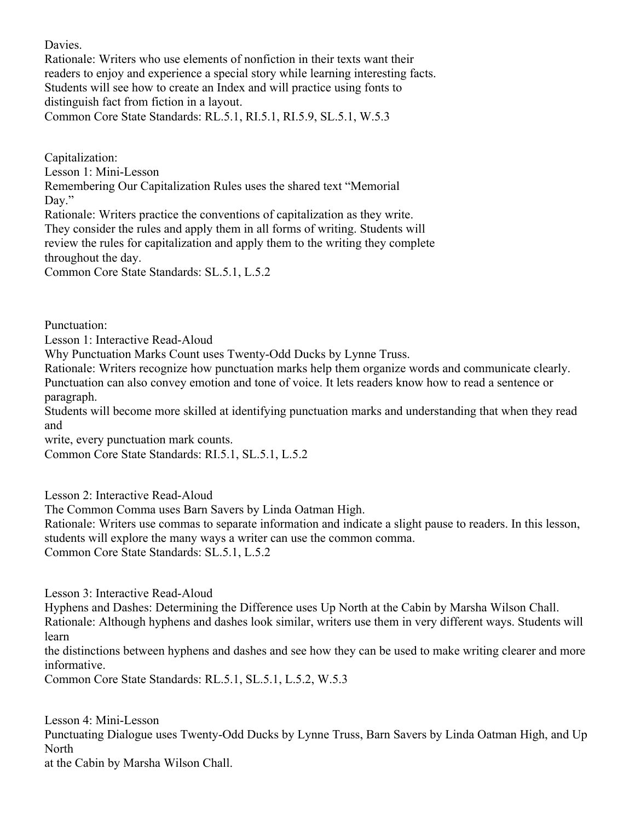Davies.

Rationale: Writers who use elements of nonfiction in their texts want their readers to enjoy and experience a special story while learning interesting facts. Students will see how to create an Index and will practice using fonts to distinguish fact from fiction in a layout. Common Core State Standards: RL.5.1, RI.5.1, RI.5.9, SL.5.1, W.5.3

Capitalization: Lesson 1: Mini-Lesson Remembering Our Capitalization Rules uses the shared text "Memorial Day." Rationale: Writers practice the conventions of capitalization as they write. They consider the rules and apply them in all forms of writing. Students will review the rules for capitalization and apply them to the writing they complete

throughout the day.

Common Core State Standards: SL.5.1, L.5.2

Punctuation:

Lesson 1: Interactive Read-Aloud

Why Punctuation Marks Count uses Twenty-Odd Ducks by Lynne Truss.

Rationale: Writers recognize how punctuation marks help them organize words and communicate clearly. Punctuation can also convey emotion and tone of voice. It lets readers know how to read a sentence or paragraph.

Students will become more skilled at identifying punctuation marks and understanding that when they read and

write, every punctuation mark counts.

Common Core State Standards: RI.5.1, SL.5.1, L.5.2

Lesson 2: Interactive Read-Aloud

The Common Comma uses Barn Savers by Linda Oatman High.

Rationale: Writers use commas to separate information and indicate a slight pause to readers. In this lesson, students will explore the many ways a writer can use the common comma.

Common Core State Standards: SL.5.1, L.5.2

Lesson 3: Interactive Read-Aloud

Hyphens and Dashes: Determining the Difference uses Up North at the Cabin by Marsha Wilson Chall. Rationale: Although hyphens and dashes look similar, writers use them in very different ways. Students will learn

the distinctions between hyphens and dashes and see how they can be used to make writing clearer and more informative.

Common Core State Standards: RL.5.1, SL.5.1, L.5.2, W.5.3

Lesson 4: Mini-Lesson Punctuating Dialogue uses Twenty-Odd Ducks by Lynne Truss, Barn Savers by Linda Oatman High, and Up **North** at the Cabin by Marsha Wilson Chall.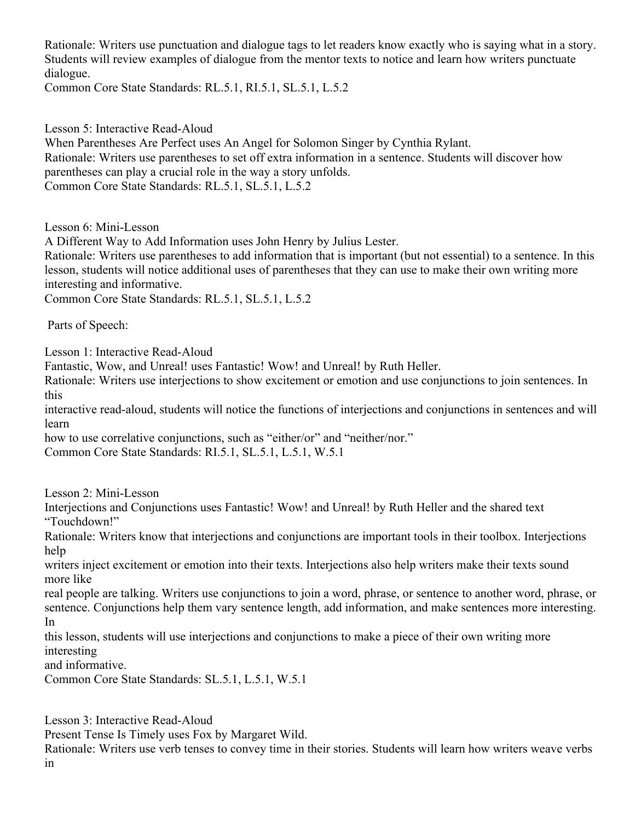Rationale: Writers use punctuation and dialogue tags to let readers know exactly who is saying what in a story. Students will review examples of dialogue from the mentor texts to notice and learn how writers punctuate dialogue.

Common Core State Standards: RL.5.1, RI.5.1, SL.5.1, L.5.2

Lesson 5: Interactive Read-Aloud

When Parentheses Are Perfect uses An Angel for Solomon Singer by Cynthia Rylant. Rationale: Writers use parentheses to set off extra information in a sentence. Students will discover how parentheses can play a crucial role in the way a story unfolds. Common Core State Standards: RL.5.1, SL.5.1, L.5.2

Lesson 6: Mini-Lesson

A Different Way to Add Information uses John Henry by Julius Lester.

Rationale: Writers use parentheses to add information that is important (but not essential) to a sentence. In this lesson, students will notice additional uses of parentheses that they can use to make their own writing more interesting and informative.

Common Core State Standards: RL.5.1, SL.5.1, L.5.2

Parts of Speech:

Lesson 1: Interactive Read-Aloud

Fantastic, Wow, and Unreal! uses Fantastic! Wow! and Unreal! by Ruth Heller.

Rationale: Writers use interjections to show excitement or emotion and use conjunctions to join sentences. In this

interactive read-aloud, students will notice the functions of interjections and conjunctions in sentences and will learn

how to use correlative conjunctions, such as "either/or" and "neither/nor."

Common Core State Standards: RI.5.1, SL.5.1, L.5.1, W.5.1

Lesson 2: Mini-Lesson

Interjections and Conjunctions uses Fantastic! Wow! and Unreal! by Ruth Heller and the shared text "Touchdown!"

Rationale: Writers know that interjections and conjunctions are important tools in their toolbox. Interjections help

writers inject excitement or emotion into their texts. Interjections also help writers make their texts sound more like

real people are talking. Writers use conjunctions to join a word, phrase, or sentence to another word, phrase, or sentence. Conjunctions help them vary sentence length, add information, and make sentences more interesting. In

this lesson, students will use interjections and conjunctions to make a piece of their own writing more interesting

and informative.

Common Core State Standards: SL.5.1, L.5.1, W.5.1

Lesson 3: Interactive Read-Aloud Present Tense Is Timely uses Fox by Margaret Wild.

Rationale: Writers use verb tenses to convey time in their stories. Students will learn how writers weave verbs in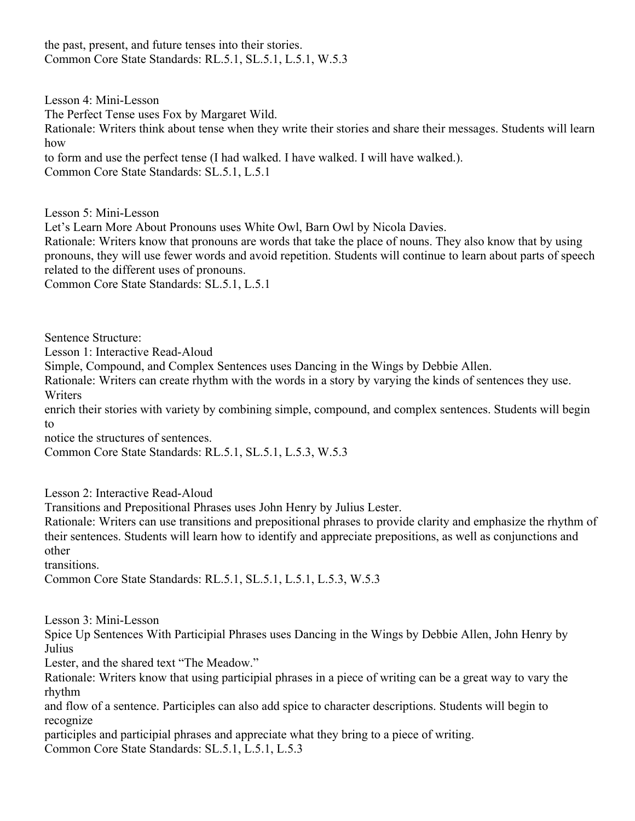the past, present, and future tenses into their stories. Common Core State Standards: RL.5.1, SL.5.1, L.5.1, W.5.3

Lesson 4: Mini-Lesson The Perfect Tense uses Fox by Margaret Wild. Rationale: Writers think about tense when they write their stories and share their messages. Students will learn how to form and use the perfect tense (I had walked. I have walked. I will have walked.). Common Core State Standards: SL.5.1, L.5.1

Lesson 5: Mini-Lesson

Let's Learn More About Pronouns uses White Owl, Barn Owl by Nicola Davies.

Rationale: Writers know that pronouns are words that take the place of nouns. They also know that by using pronouns, they will use fewer words and avoid repetition. Students will continue to learn about parts of speech related to the different uses of pronouns.

Common Core State Standards: SL.5.1, L.5.1

Sentence Structure:

Lesson 1: Interactive Read-Aloud

Simple, Compound, and Complex Sentences uses Dancing in the Wings by Debbie Allen.

Rationale: Writers can create rhythm with the words in a story by varying the kinds of sentences they use. **Writers** 

enrich their stories with variety by combining simple, compound, and complex sentences. Students will begin to

notice the structures of sentences.

Common Core State Standards: RL.5.1, SL.5.1, L.5.3, W.5.3

Lesson 2: Interactive Read-Aloud

Transitions and Prepositional Phrases uses John Henry by Julius Lester.

Rationale: Writers can use transitions and prepositional phrases to provide clarity and emphasize the rhythm of their sentences. Students will learn how to identify and appreciate prepositions, as well as conjunctions and other

transitions.

Common Core State Standards: RL.5.1, SL.5.1, L.5.1, L.5.3, W.5.3

Lesson 3: Mini-Lesson

Spice Up Sentences With Participial Phrases uses Dancing in the Wings by Debbie Allen, John Henry by Julius

Lester, and the shared text "The Meadow."

Rationale: Writers know that using participial phrases in a piece of writing can be a great way to vary the rhythm

and flow of a sentence. Participles can also add spice to character descriptions. Students will begin to recognize

participles and participial phrases and appreciate what they bring to a piece of writing. Common Core State Standards: SL.5.1, L.5.1, L.5.3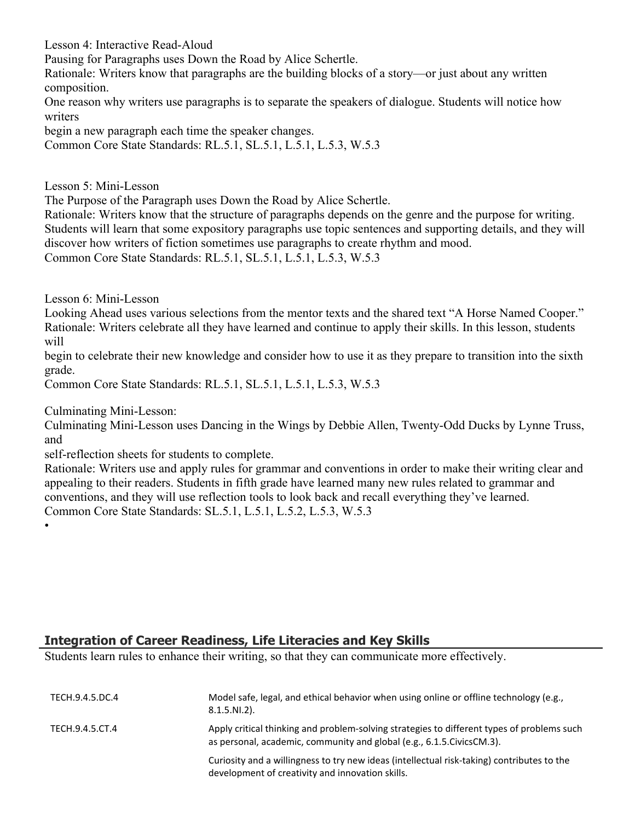Lesson 4: Interactive Read-Aloud

Pausing for Paragraphs uses Down the Road by Alice Schertle.

Rationale: Writers know that paragraphs are the building blocks of a story—or just about any written composition.

One reason why writers use paragraphs is to separate the speakers of dialogue. Students will notice how writers

begin a new paragraph each time the speaker changes.

Common Core State Standards: RL.5.1, SL.5.1, L.5.1, L.5.3, W.5.3

Lesson 5: Mini-Lesson

The Purpose of the Paragraph uses Down the Road by Alice Schertle.

Rationale: Writers know that the structure of paragraphs depends on the genre and the purpose for writing. Students will learn that some expository paragraphs use topic sentences and supporting details, and they will discover how writers of fiction sometimes use paragraphs to create rhythm and mood.

Common Core State Standards: RL.5.1, SL.5.1, L.5.1, L.5.3, W.5.3

Lesson 6: Mini-Lesson

Looking Ahead uses various selections from the mentor texts and the shared text "A Horse Named Cooper." Rationale: Writers celebrate all they have learned and continue to apply their skills. In this lesson, students will

begin to celebrate their new knowledge and consider how to use it as they prepare to transition into the sixth grade.

Common Core State Standards: RL.5.1, SL.5.1, L.5.1, L.5.3, W.5.3

Culminating Mini-Lesson:

Culminating Mini-Lesson uses Dancing in the Wings by Debbie Allen, Twenty-Odd Ducks by Lynne Truss, and

self-reflection sheets for students to complete.

Rationale: Writers use and apply rules for grammar and conventions in order to make their writing clear and appealing to their readers. Students in fifth grade have learned many new rules related to grammar and conventions, and they will use reflection tools to look back and recall everything they've learned. Common Core State Standards: SL.5.1, L.5.1, L.5.2, L.5.3, W.5.3

•

## **Integration of Career Readiness, Life Literacies and Key Skills**

Students learn rules to enhance their writing, so that they can communicate more effectively.

| TECH.9.4.5.DC.4 | Model safe, legal, and ethical behavior when using online or offline technology (e.g.,<br>$8.1.5.NI.2$ ).                                                             |
|-----------------|-----------------------------------------------------------------------------------------------------------------------------------------------------------------------|
| TECH.9.4.5.CT.4 | Apply critical thinking and problem-solving strategies to different types of problems such<br>as personal, academic, community and global (e.g., 6.1.5. Civics CM.3). |
|                 | Curiosity and a willingness to try new ideas (intellectual risk-taking) contributes to the<br>development of creativity and innovation skills.                        |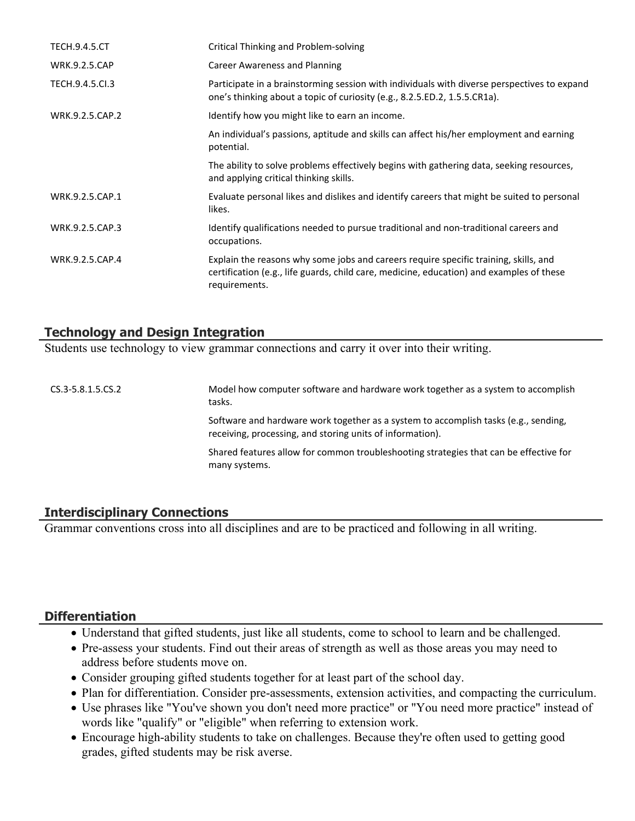| <b>TECH.9.4.5.CT</b> | Critical Thinking and Problem-solving                                                                                                                                                             |
|----------------------|---------------------------------------------------------------------------------------------------------------------------------------------------------------------------------------------------|
| <b>WRK.9.2.5.CAP</b> | Career Awareness and Planning                                                                                                                                                                     |
| TECH.9.4.5.Cl.3      | Participate in a brainstorming session with individuals with diverse perspectives to expand<br>one's thinking about a topic of curiosity (e.g., 8.2.5.ED.2, 1.5.5.CR1a).                          |
| WRK.9.2.5.CAP.2      | Identify how you might like to earn an income.                                                                                                                                                    |
|                      | An individual's passions, aptitude and skills can affect his/her employment and earning<br>potential.                                                                                             |
|                      | The ability to solve problems effectively begins with gathering data, seeking resources,<br>and applying critical thinking skills.                                                                |
| WRK.9.2.5.CAP.1      | Evaluate personal likes and dislikes and identify careers that might be suited to personal<br>likes.                                                                                              |
| WRK.9.2.5.CAP.3      | Identify qualifications needed to pursue traditional and non-traditional careers and<br>occupations.                                                                                              |
| WRK.9.2.5.CAP.4      | Explain the reasons why some jobs and careers require specific training, skills, and<br>certification (e.g., life guards, child care, medicine, education) and examples of these<br>requirements. |

### **Technology and Design Integration**

Students use technology to view grammar connections and carry it over into their writing.

CS.3-5.8.1.5.CS.2 Model how computer software and hardware work together as a system to accomplish tasks. Software and hardware work together as a system to accomplish tasks (e.g., sending, receiving, processing, and storing units of information). Shared features allow for common troubleshooting strategies that can be effective for many systems.

## **Interdisciplinary Connections**

Grammar conventions cross into all disciplines and are to be practiced and following in all writing.

#### **Differentiation**

- Understand that gifted students, just like all students, come to school to learn and be challenged.
- Pre-assess your students. Find out their areas of strength as well as those areas you may need to address before students move on.
- Consider grouping gifted students together for at least part of the school day.
- Plan for differentiation. Consider pre-assessments, extension activities, and compacting the curriculum.
- Use phrases like "You've shown you don't need more practice" or "You need more practice" instead of words like "qualify" or "eligible" when referring to extension work.
- Encourage high-ability students to take on challenges. Because they're often used to getting good grades, gifted students may be risk averse.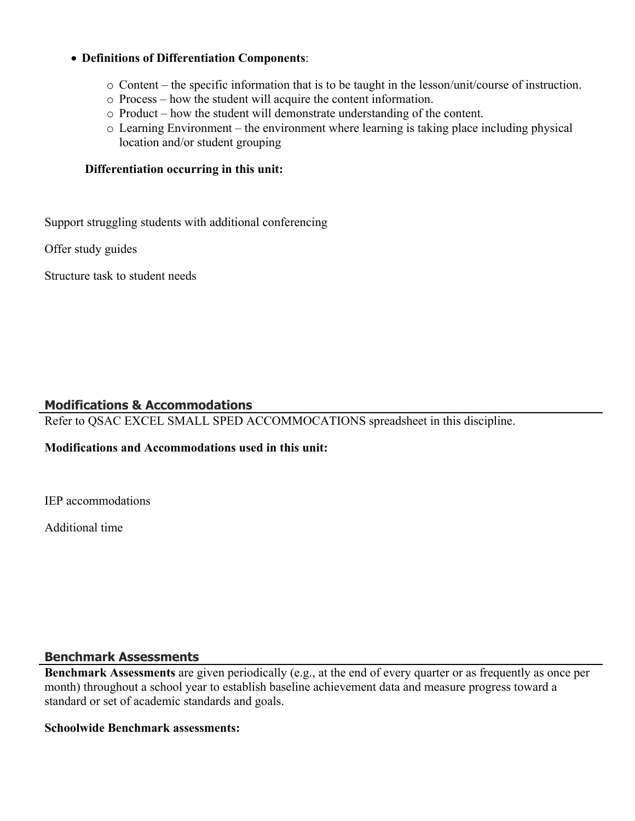#### **Definitions of Differentiation Components**:

- o Content the specific information that is to be taught in the lesson/unit/course of instruction.
- o Process how the student will acquire the content information.
- o Product how the student will demonstrate understanding of the content.
- o Learning Environment the environment where learning is taking place including physical location and/or student grouping

#### **Differentiation occurring in this unit:**

Support struggling students with additional conferencing

Offer study guides

Structure task to student needs

## **Modifications & Accommodations**

Refer to QSAC EXCEL SMALL SPED ACCOMMOCATIONS spreadsheet in this discipline.

#### **Modifications and Accommodations used in this unit:**

IEP accommodations

Additional time

#### **Benchmark Assessments**

**Benchmark Assessments** are given periodically (e.g., at the end of every quarter or as frequently as once per month) throughout a school year to establish baseline achievement data and measure progress toward a standard or set of academic standards and goals.

#### **Schoolwide Benchmark assessments:**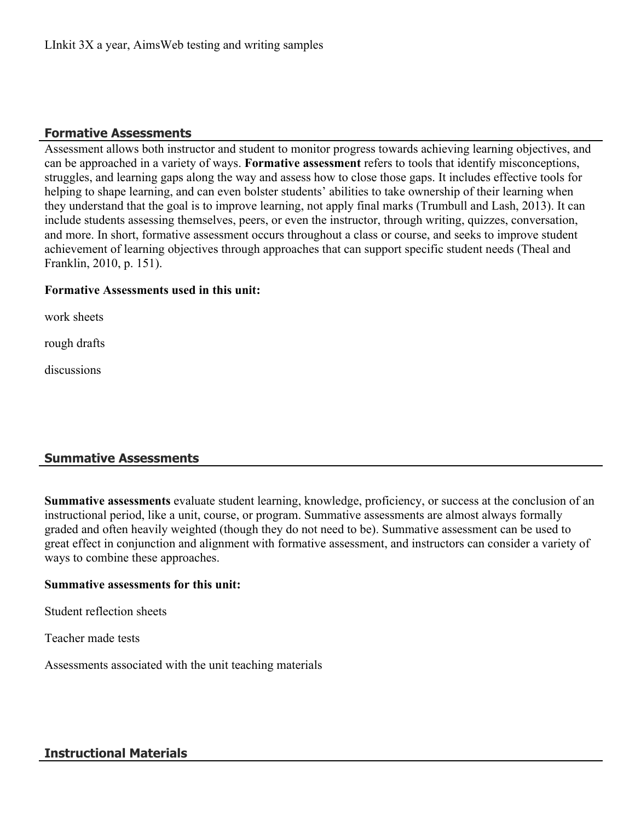#### **Formative Assessments**

Assessment allows both instructor and student to monitor progress towards achieving learning objectives, and can be approached in a variety of ways. **Formative assessment** refers to tools that identify misconceptions, struggles, and learning gaps along the way and assess how to close those gaps. It includes effective tools for helping to shape learning, and can even bolster students' abilities to take ownership of their learning when they understand that the goal is to improve learning, not apply final marks (Trumbull and Lash, 2013). It can include students assessing themselves, peers, or even the instructor, through writing, quizzes, conversation, and more. In short, formative assessment occurs throughout a class or course, and seeks to improve student achievement of learning objectives through approaches that can support specific student needs (Theal and Franklin, 2010, p. 151).

#### **Formative Assessments used in this unit:**

work sheets

rough drafts

discussions

## **Summative Assessments**

**Summative assessments** evaluate student learning, knowledge, proficiency, or success at the conclusion of an instructional period, like a unit, course, or program. Summative assessments are almost always formally graded and often heavily weighted (though they do not need to be). Summative assessment can be used to great effect in conjunction and alignment with formative assessment, and instructors can consider a variety of ways to combine these approaches.

#### **Summative assessments for this unit:**

Student reflection sheets

Teacher made tests

Assessments associated with the unit teaching materials

## **Instructional Materials**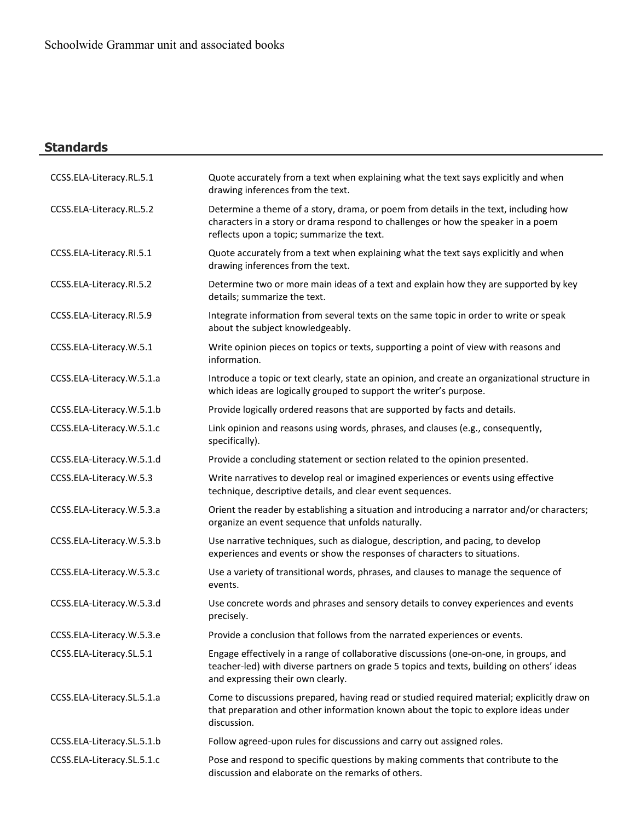## **Standards**

| CCSS.ELA-Literacy.RL.5.1   | Quote accurately from a text when explaining what the text says explicitly and when<br>drawing inferences from the text.                                                                                                 |
|----------------------------|--------------------------------------------------------------------------------------------------------------------------------------------------------------------------------------------------------------------------|
| CCSS.ELA-Literacy.RL.5.2   | Determine a theme of a story, drama, or poem from details in the text, including how<br>characters in a story or drama respond to challenges or how the speaker in a poem<br>reflects upon a topic; summarize the text.  |
| CCSS.ELA-Literacy.RI.5.1   | Quote accurately from a text when explaining what the text says explicitly and when<br>drawing inferences from the text.                                                                                                 |
| CCSS.ELA-Literacy.RI.5.2   | Determine two or more main ideas of a text and explain how they are supported by key<br>details; summarize the text.                                                                                                     |
| CCSS.ELA-Literacy.RI.5.9   | Integrate information from several texts on the same topic in order to write or speak<br>about the subject knowledgeably.                                                                                                |
| CCSS.ELA-Literacy.W.5.1    | Write opinion pieces on topics or texts, supporting a point of view with reasons and<br>information.                                                                                                                     |
| CCSS.ELA-Literacy.W.5.1.a  | Introduce a topic or text clearly, state an opinion, and create an organizational structure in<br>which ideas are logically grouped to support the writer's purpose.                                                     |
| CCSS.ELA-Literacy.W.5.1.b  | Provide logically ordered reasons that are supported by facts and details.                                                                                                                                               |
| CCSS.ELA-Literacy.W.5.1.c  | Link opinion and reasons using words, phrases, and clauses (e.g., consequently,<br>specifically).                                                                                                                        |
| CCSS.ELA-Literacy.W.5.1.d  | Provide a concluding statement or section related to the opinion presented.                                                                                                                                              |
| CCSS.ELA-Literacy.W.5.3    | Write narratives to develop real or imagined experiences or events using effective<br>technique, descriptive details, and clear event sequences.                                                                         |
| CCSS.ELA-Literacy.W.5.3.a  | Orient the reader by establishing a situation and introducing a narrator and/or characters;<br>organize an event sequence that unfolds naturally.                                                                        |
| CCSS.ELA-Literacy.W.5.3.b  | Use narrative techniques, such as dialogue, description, and pacing, to develop<br>experiences and events or show the responses of characters to situations.                                                             |
| CCSS.ELA-Literacy.W.5.3.c  | Use a variety of transitional words, phrases, and clauses to manage the sequence of<br>events.                                                                                                                           |
| CCSS.ELA-Literacy.W.5.3.d  | Use concrete words and phrases and sensory details to convey experiences and events<br>precisely.                                                                                                                        |
| CCSS.ELA-Literacy.W.5.3.e  | Provide a conclusion that follows from the narrated experiences or events.                                                                                                                                               |
| CCSS.ELA-Literacy.SL.5.1   | Engage effectively in a range of collaborative discussions (one-on-one, in groups, and<br>teacher-led) with diverse partners on grade 5 topics and texts, building on others' ideas<br>and expressing their own clearly. |
| CCSS.ELA-Literacy.SL.5.1.a | Come to discussions prepared, having read or studied required material; explicitly draw on<br>that preparation and other information known about the topic to explore ideas under<br>discussion.                         |
| CCSS.ELA-Literacy.SL.5.1.b | Follow agreed-upon rules for discussions and carry out assigned roles.                                                                                                                                                   |
| CCSS.ELA-Literacy.SL.5.1.c | Pose and respond to specific questions by making comments that contribute to the<br>discussion and elaborate on the remarks of others.                                                                                   |